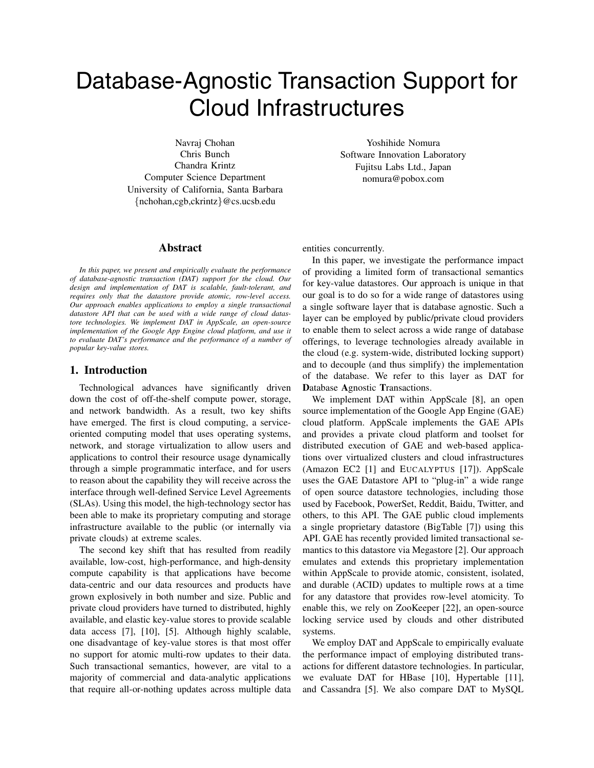# Database-Agnostic Transaction Support for Cloud Infrastructures

Navraj Chohan Chris Bunch Chandra Krintz Computer Science Department University of California, Santa Barbara {nchohan,cgb,ckrintz}@cs.ucsb.edu

Yoshihide Nomura Software Innovation Laboratory Fujitsu Labs Ltd., Japan nomura@pobox.com

#### **Abstract**

*In this paper, we present and empirically evaluate the performance of database-agnostic transaction (DAT) support for the cloud. Our design and implementation of DAT is scalable, fault-tolerant, and requires only that the datastore provide atomic, row-level access. Our approach enables applications to employ a single transactional datastore API that can be used with a wide range of cloud datastore technologies. We implement DAT in AppScale, an open-source implementation of the Google App Engine cloud platform, and use it to evaluate DAT's performance and the performance of a number of popular key-value stores.*

#### **1. Introduction**

Technological advances have significantly driven down the cost of off-the-shelf compute power, storage, and network bandwidth. As a result, two key shifts have emerged. The first is cloud computing, a serviceoriented computing model that uses operating systems, network, and storage virtualization to allow users and applications to control their resource usage dynamically through a simple programmatic interface, and for users to reason about the capability they will receive across the interface through well-defined Service Level Agreements (SLAs). Using this model, the high-technology sector has been able to make its proprietary computing and storage infrastructure available to the public (or internally via private clouds) at extreme scales.

The second key shift that has resulted from readily available, low-cost, high-performance, and high-density compute capability is that applications have become data-centric and our data resources and products have grown explosively in both number and size. Public and private cloud providers have turned to distributed, highly available, and elastic key-value stores to provide scalable data access [7], [10], [5]. Although highly scalable, one disadvantage of key-value stores is that most offer no support for atomic multi-row updates to their data. Such transactional semantics, however, are vital to a majority of commercial and data-analytic applications that require all-or-nothing updates across multiple data

entities concurrently.

In this paper, we investigate the performance impact of providing a limited form of transactional semantics for key-value datastores. Our approach is unique in that our goal is to do so for a wide range of datastores using a single software layer that is database agnostic. Such a layer can be employed by public/private cloud providers to enable them to select across a wide range of database offerings, to leverage technologies already available in the cloud (e.g. system-wide, distributed locking support) and to decouple (and thus simplify) the implementation of the database. We refer to this layer as DAT for **D**atabase **A**gnostic **T**ransactions.

We implement DAT within AppScale [8], an open source implementation of the Google App Engine (GAE) cloud platform. AppScale implements the GAE APIs and provides a private cloud platform and toolset for distributed execution of GAE and web-based applications over virtualized clusters and cloud infrastructures (Amazon EC2 [1] and EUCALYPTUS [17]). AppScale uses the GAE Datastore API to "plug-in" a wide range of open source datastore technologies, including those used by Facebook, PowerSet, Reddit, Baidu, Twitter, and others, to this API. The GAE public cloud implements a single proprietary datastore (BigTable [7]) using this API. GAE has recently provided limited transactional semantics to this datastore via Megastore [2]. Our approach emulates and extends this proprietary implementation within AppScale to provide atomic, consistent, isolated, and durable (ACID) updates to multiple rows at a time for any datastore that provides row-level atomicity. To enable this, we rely on ZooKeeper [22], an open-source locking service used by clouds and other distributed systems.

We employ DAT and AppScale to empirically evaluate the performance impact of employing distributed transactions for different datastore technologies. In particular, we evaluate DAT for HBase [10], Hypertable [11], and Cassandra [5]. We also compare DAT to MySQL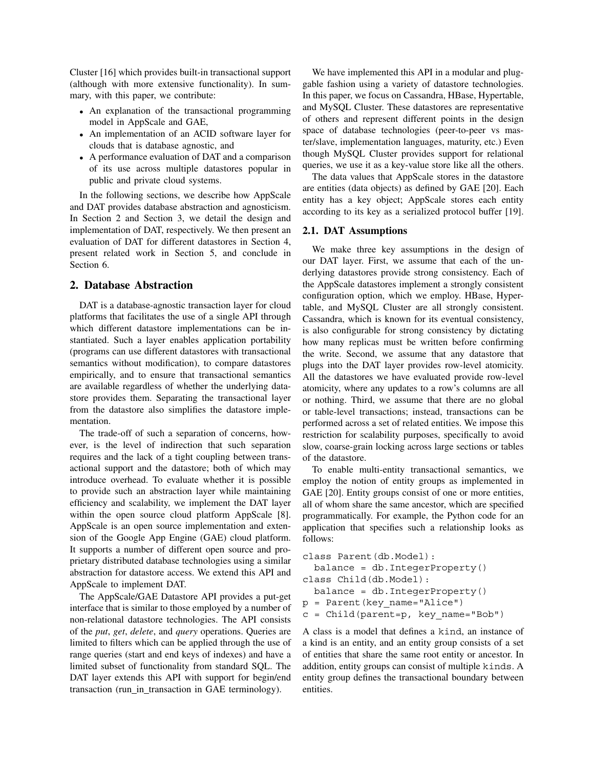Cluster [16] which provides built-in transactional support (although with more extensive functionality). In summary, with this paper, we contribute:

- <sup>∙</sup> An explanation of the transactional programming model in AppScale and GAE,
- <sup>∙</sup> An implementation of an ACID software layer for clouds that is database agnostic, and
- <sup>∙</sup> A performance evaluation of DAT and a comparison of its use across multiple datastores popular in public and private cloud systems.

In the following sections, we describe how AppScale and DAT provides database abstraction and agnosticism. In Section 2 and Section 3, we detail the design and implementation of DAT, respectively. We then present an evaluation of DAT for different datastores in Section 4, present related work in Section 5, and conclude in Section 6.

## **2. Database Abstraction**

DAT is a database-agnostic transaction layer for cloud platforms that facilitates the use of a single API through which different datastore implementations can be instantiated. Such a layer enables application portability (programs can use different datastores with transactional semantics without modification), to compare datastores empirically, and to ensure that transactional semantics are available regardless of whether the underlying datastore provides them. Separating the transactional layer from the datastore also simplifies the datastore implementation.

The trade-off of such a separation of concerns, however, is the level of indirection that such separation requires and the lack of a tight coupling between transactional support and the datastore; both of which may introduce overhead. To evaluate whether it is possible to provide such an abstraction layer while maintaining efficiency and scalability, we implement the DAT layer within the open source cloud platform AppScale [8]. AppScale is an open source implementation and extension of the Google App Engine (GAE) cloud platform. It supports a number of different open source and proprietary distributed database technologies using a similar abstraction for datastore access. We extend this API and AppScale to implement DAT.

The AppScale/GAE Datastore API provides a put-get interface that is similar to those employed by a number of non-relational datastore technologies. The API consists of the *put*, *get*, *delete*, and *query* operations. Queries are limited to filters which can be applied through the use of range queries (start and end keys of indexes) and have a limited subset of functionality from standard SQL. The DAT layer extends this API with support for begin/end transaction (run in transaction in GAE terminology).

We have implemented this API in a modular and pluggable fashion using a variety of datastore technologies. In this paper, we focus on Cassandra, HBase, Hypertable, and MySQL Cluster. These datastores are representative of others and represent different points in the design space of database technologies (peer-to-peer vs master/slave, implementation languages, maturity, etc.) Even though MySQL Cluster provides support for relational queries, we use it as a key-value store like all the others.

The data values that AppScale stores in the datastore are entities (data objects) as defined by GAE [20]. Each entity has a key object; AppScale stores each entity according to its key as a serialized protocol buffer [19].

#### **2.1. DAT Assumptions**

We make three key assumptions in the design of our DAT layer. First, we assume that each of the underlying datastores provide strong consistency. Each of the AppScale datastores implement a strongly consistent configuration option, which we employ. HBase, Hypertable, and MySQL Cluster are all strongly consistent. Cassandra, which is known for its eventual consistency, is also configurable for strong consistency by dictating how many replicas must be written before confirming the write. Second, we assume that any datastore that plugs into the DAT layer provides row-level atomicity. All the datastores we have evaluated provide row-level atomicity, where any updates to a row's columns are all or nothing. Third, we assume that there are no global or table-level transactions; instead, transactions can be performed across a set of related entities. We impose this restriction for scalability purposes, specifically to avoid slow, coarse-grain locking across large sections or tables of the datastore.

To enable multi-entity transactional semantics, we employ the notion of entity groups as implemented in GAE [20]. Entity groups consist of one or more entities, all of whom share the same ancestor, which are specified programmatically. For example, the Python code for an application that specifies such a relationship looks as follows:

```
class Parent(db.Model):
 balance = db.IntegerProperty()
class Child(db.Model):
 balance = db.IntegerProperty()
p = Parent(key_name="Alice")
c = Child(parent=p, key_name="Bob")
```
A class is a model that defines a kind, an instance of a kind is an entity, and an entity group consists of a set of entities that share the same root entity or ancestor. In addition, entity groups can consist of multiple kinds. A entity group defines the transactional boundary between entities.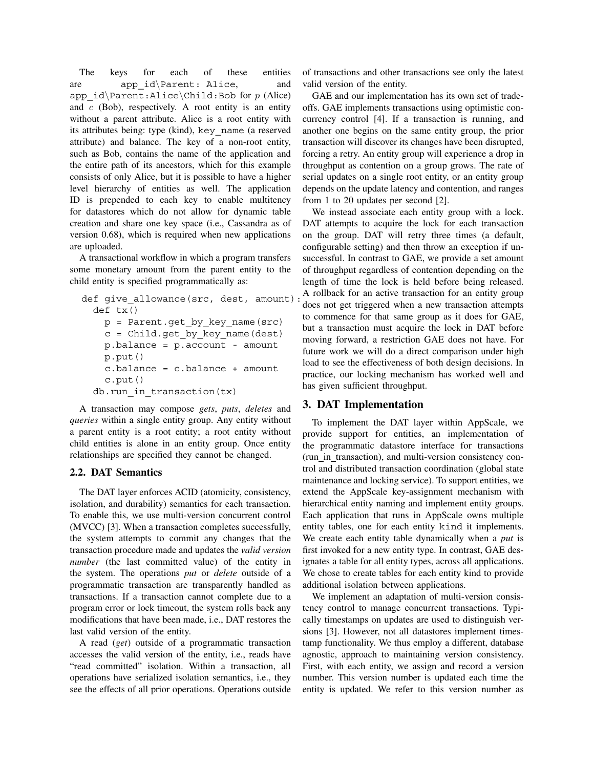The keys for each of these entities are app\_id∖Parent: Alice, and app\_id∖Parent:Alice\Child:Bob for  $p$  (Alice) and  $c$  (Bob), respectively. A root entity is an entity without a parent attribute. Alice is a root entity with its attributes being: type (kind), key\_name (a reserved attribute) and balance. The key of a non-root entity, such as Bob, contains the name of the application and the entire path of its ancestors, which for this example consists of only Alice, but it is possible to have a higher level hierarchy of entities as well. The application ID is prepended to each key to enable multitency for datastores which do not allow for dynamic table creation and share one key space (i.e., Cassandra as of version 0.68), which is required when new applications are uploaded.

A transactional workflow in which a program transfers some monetary amount from the parent entity to the child entity is specified programmatically as:

```
def give allowance(src, dest, amount)
  def tx()
    p = Parent.get_by_key_name(src)
    c = Child.get_by_key_name(dest)
    p.balance = p.account - amount
    p.put()
    c.balance = c.balance + amount
    c.put()
  db.run_in_transaction(tx)
```
A transaction may compose *gets*, *puts*, *deletes* and *queries* within a single entity group. Any entity without a parent entity is a root entity; a root entity without child entities is alone in an entity group. Once entity relationships are specified they cannot be changed.

#### **2.2. DAT Semantics**

The DAT layer enforces ACID (atomicity, consistency, isolation, and durability) semantics for each transaction. To enable this, we use multi-version concurrent control (MVCC) [3]. When a transaction completes successfully, the system attempts to commit any changes that the transaction procedure made and updates the *valid version number* (the last committed value) of the entity in the system. The operations *put* or *delete* outside of a programmatic transaction are transparently handled as transactions. If a transaction cannot complete due to a program error or lock timeout, the system rolls back any modifications that have been made, i.e., DAT restores the last valid version of the entity.

A read (*get*) outside of a programmatic transaction accesses the valid version of the entity, i.e., reads have "read committed" isolation. Within a transaction, all operations have serialized isolation semantics, i.e., they see the effects of all prior operations. Operations outside of transactions and other transactions see only the latest valid version of the entity.

GAE and our implementation has its own set of tradeoffs. GAE implements transactions using optimistic concurrency control [4]. If a transaction is running, and another one begins on the same entity group, the prior transaction will discover its changes have been disrupted, forcing a retry. An entity group will experience a drop in throughput as contention on a group grows. The rate of serial updates on a single root entity, or an entity group depends on the update latency and contention, and ranges from 1 to 20 updates per second [2].

We instead associate each entity group with a lock. DAT attempts to acquire the lock for each transaction on the group. DAT will retry three times (a default, configurable setting) and then throw an exception if unsuccessful. In contrast to GAE, we provide a set amount of throughput regardless of contention depending on the length of time the lock is held before being released. A rollback for an active transaction for an entity group does not get triggered when a new transaction attempts to commence for that same group as it does for GAE, but a transaction must acquire the lock in DAT before moving forward, a restriction GAE does not have. For future work we will do a direct comparison under high load to see the effectiveness of both design decisions. In practice, our locking mechanism has worked well and has given sufficient throughput.

# **3. DAT Implementation**

To implement the DAT layer within AppScale, we provide support for entities, an implementation of the programmatic datastore interface for transactions (run\_in\_transaction), and multi-version consistency control and distributed transaction coordination (global state maintenance and locking service). To support entities, we extend the AppScale key-assignment mechanism with hierarchical entity naming and implement entity groups. Each application that runs in AppScale owns multiple entity tables, one for each entity kind it implements. We create each entity table dynamically when a *put* is first invoked for a new entity type. In contrast, GAE designates a table for all entity types, across all applications. We chose to create tables for each entity kind to provide additional isolation between applications.

We implement an adaptation of multi-version consistency control to manage concurrent transactions. Typically timestamps on updates are used to distinguish versions [3]. However, not all datastores implement timestamp functionality. We thus employ a different, database agnostic, approach to maintaining version consistency. First, with each entity, we assign and record a version number. This version number is updated each time the entity is updated. We refer to this version number as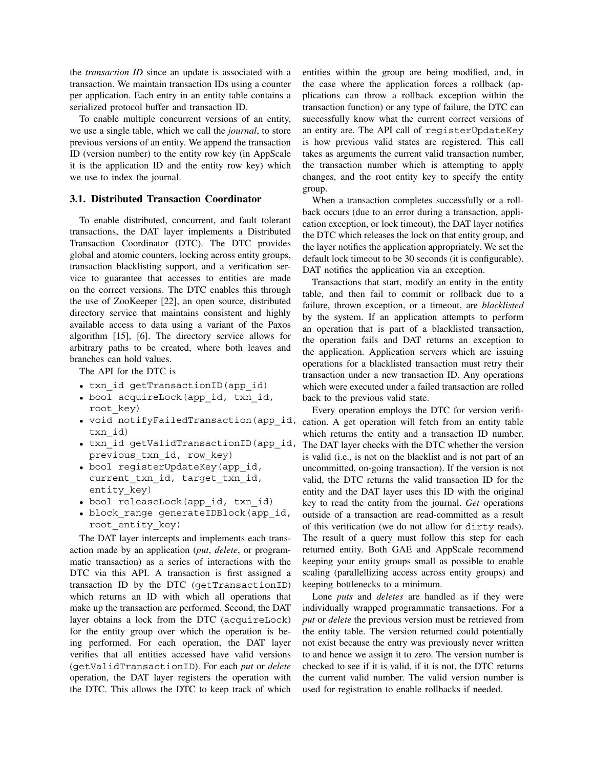the *transaction ID* since an update is associated with a transaction. We maintain transaction IDs using a counter per application. Each entry in an entity table contains a serialized protocol buffer and transaction ID.

To enable multiple concurrent versions of an entity, we use a single table, which we call the *journal*, to store previous versions of an entity. We append the transaction ID (version number) to the entity row key (in AppScale it is the application ID and the entity row key) which we use to index the journal.

#### **3.1. Distributed Transaction Coordinator**

To enable distributed, concurrent, and fault tolerant transactions, the DAT layer implements a Distributed Transaction Coordinator (DTC). The DTC provides global and atomic counters, locking across entity groups, transaction blacklisting support, and a verification service to guarantee that accesses to entities are made on the correct versions. The DTC enables this through the use of ZooKeeper [22], an open source, distributed directory service that maintains consistent and highly available access to data using a variant of the Paxos algorithm [15], [6]. The directory service allows for arbitrary paths to be created, where both leaves and branches can hold values.

The API for the DTC is

- <sup>∙</sup> txn\_id getTransactionID(app\_id)
- <sup>∙</sup> bool acquireLock(app\_id, txn\_id, root\_key)
- <sup>∙</sup> void notifyFailedTransaction(app\_id, txn\_id)
- <sup>∙</sup> txn\_id getValidTransactionID(app\_id, previous\_txn\_id, row\_key)
- <sup>∙</sup> bool registerUpdateKey(app\_id, current txn id, target txn id, entity\_key)
- <sup>∙</sup> bool releaseLock(app\_id, txn\_id)
- <sup>∙</sup> block\_range generateIDBlock(app\_id, root\_entity\_key)

The DAT layer intercepts and implements each transaction made by an application (*put*, *delete*, or programmatic transaction) as a series of interactions with the DTC via this API. A transaction is first assigned a transaction ID by the DTC (getTransactionID) which returns an ID with which all operations that make up the transaction are performed. Second, the DAT layer obtains a lock from the DTC (acquireLock) for the entity group over which the operation is being performed. For each operation, the DAT layer verifies that all entities accessed have valid versions (getValidTransactionID). For each *put* or *delete* operation, the DAT layer registers the operation with the DTC. This allows the DTC to keep track of which entities within the group are being modified, and, in the case where the application forces a rollback (applications can throw a rollback exception within the transaction function) or any type of failure, the DTC can successfully know what the current correct versions of an entity are. The API call of registerUpdateKey is how previous valid states are registered. This call takes as arguments the current valid transaction number, the transaction number which is attempting to apply changes, and the root entity key to specify the entity group.

When a transaction completes successfully or a rollback occurs (due to an error during a transaction, application exception, or lock timeout), the DAT layer notifies the DTC which releases the lock on that entity group, and the layer notifies the application appropriately. We set the default lock timeout to be 30 seconds (it is configurable). DAT notifies the application via an exception.

Transactions that start, modify an entity in the entity table, and then fail to commit or rollback due to a failure, thrown exception, or a timeout, are *blacklisted* by the system. If an application attempts to perform an operation that is part of a blacklisted transaction, the operation fails and DAT returns an exception to the application. Application servers which are issuing operations for a blacklisted transaction must retry their transaction under a new transaction ID. Any operations which were executed under a failed transaction are rolled back to the previous valid state.

Every operation employs the DTC for version verification. A get operation will fetch from an entity table which returns the entity and a transaction ID number. The DAT layer checks with the DTC whether the version is valid (i.e., is not on the blacklist and is not part of an uncommitted, on-going transaction). If the version is not valid, the DTC returns the valid transaction ID for the entity and the DAT layer uses this ID with the original key to read the entity from the journal. *Get* operations outside of a transaction are read-committed as a result of this verification (we do not allow for dirty reads). The result of a query must follow this step for each returned entity. Both GAE and AppScale recommend keeping your entity groups small as possible to enable scaling (parallellizing access across entity groups) and keeping bottlenecks to a minimum.

Lone *puts* and *deletes* are handled as if they were individually wrapped programmatic transactions. For a *put* or *delete* the previous version must be retrieved from the entity table. The version returned could potentially not exist because the entry was previously never written to and hence we assign it to zero. The version number is checked to see if it is valid, if it is not, the DTC returns the current valid number. The valid version number is used for registration to enable rollbacks if needed.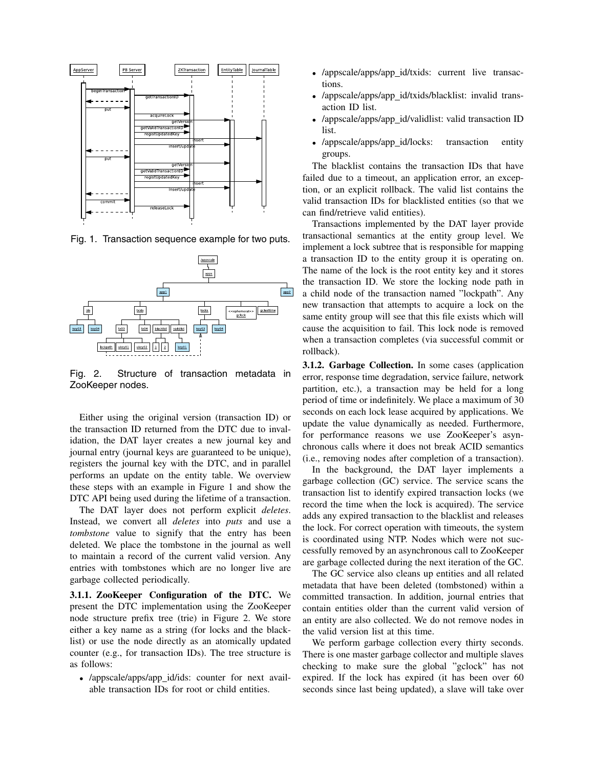

Fig. 1. Transaction sequence example for two puts.



Fig. 2. Structure of transaction metadata in ZooKeeper nodes.

Either using the original version (transaction ID) or the transaction ID returned from the DTC due to invalidation, the DAT layer creates a new journal key and journal entry (journal keys are guaranteed to be unique), registers the journal key with the DTC, and in parallel performs an update on the entity table. We overview these steps with an example in Figure 1 and show the DTC API being used during the lifetime of a transaction.

The DAT layer does not perform explicit *deletes*. Instead, we convert all *deletes* into *puts* and use a *tombstone* value to signify that the entry has been deleted. We place the tombstone in the journal as well to maintain a record of the current valid version. Any entries with tombstones which are no longer live are garbage collected periodically.

**3.1.1. ZooKeeper Configuration of the DTC.** We present the DTC implementation using the ZooKeeper node structure prefix tree (trie) in Figure 2. We store either a key name as a string (for locks and the blacklist) or use the node directly as an atomically updated counter (e.g., for transaction IDs). The tree structure is as follows:

<sup>∙</sup> /appscale/apps/app id/ids: counter for next available transaction IDs for root or child entities.

- <sup>∙</sup> /appscale/apps/app id/txids: current live transactions.
- <sup>∙</sup> /appscale/apps/app id/txids/blacklist: invalid transaction ID list.
- <sup>∙</sup> /appscale/apps/app id/validlist: valid transaction ID list.
- <sup>∙</sup> /appscale/apps/app id/locks: transaction entity groups.

The blacklist contains the transaction IDs that have failed due to a timeout, an application error, an exception, or an explicit rollback. The valid list contains the valid transaction IDs for blacklisted entities (so that we can find/retrieve valid entities).

Transactions implemented by the DAT layer provide transactional semantics at the entity group level. We implement a lock subtree that is responsible for mapping a transaction ID to the entity group it is operating on. The name of the lock is the root entity key and it stores the transaction ID. We store the locking node path in a child node of the transaction named "lockpath". Any new transaction that attempts to acquire a lock on the same entity group will see that this file exists which will cause the acquisition to fail. This lock node is removed when a transaction completes (via successful commit or rollback).

**3.1.2. Garbage Collection.** In some cases (application error, response time degradation, service failure, network partition, etc.), a transaction may be held for a long period of time or indefinitely. We place a maximum of 30 seconds on each lock lease acquired by applications. We update the value dynamically as needed. Furthermore, for performance reasons we use ZooKeeper's asynchronous calls where it does not break ACID semantics (i.e., removing nodes after completion of a transaction).

In the background, the DAT layer implements a garbage collection (GC) service. The service scans the transaction list to identify expired transaction locks (we record the time when the lock is acquired). The service adds any expired transaction to the blacklist and releases the lock. For correct operation with timeouts, the system is coordinated using NTP. Nodes which were not successfully removed by an asynchronous call to ZooKeeper are garbage collected during the next iteration of the GC.

The GC service also cleans up entities and all related metadata that have been deleted (tombstoned) within a committed transaction. In addition, journal entries that contain entities older than the current valid version of an entity are also collected. We do not remove nodes in the valid version list at this time.

We perform garbage collection every thirty seconds. There is one master garbage collector and multiple slaves checking to make sure the global "gclock" has not expired. If the lock has expired (it has been over 60 seconds since last being updated), a slave will take over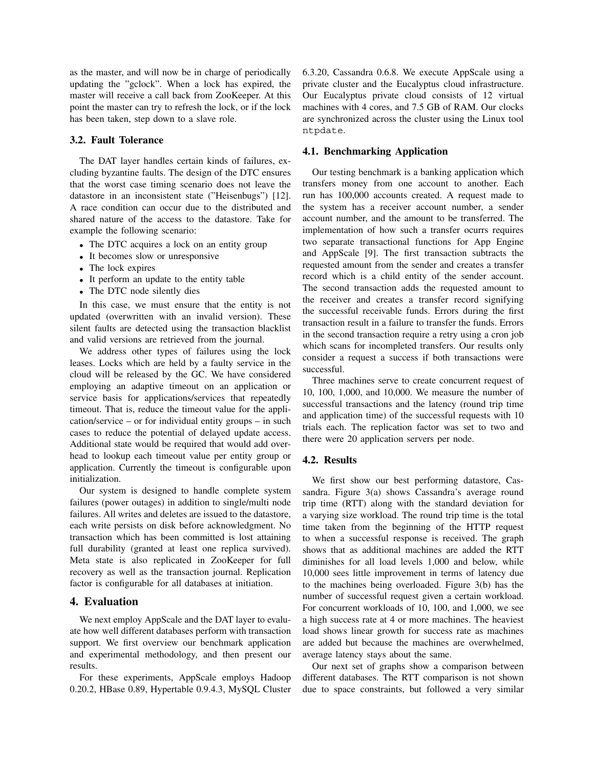as the master, and will now be in charge of periodically updating the "gclock". When a lock has expired, the master will receive a call back from ZooKeeper. At this point the master can try to refresh the lock, or if the lock has been taken, step down to a slave role.

#### **3.2. Fault Tolerance**

The DAT layer handles certain kinds of failures, excluding byzantine faults. The design of the DTC ensures that the worst case timing scenario does not leave the datastore in an inconsistent state ("Heisenbugs") [12]. A race condition can occur due to the distributed and shared nature of the access to the datastore. Take for example the following scenario:

- <sup>∙</sup> The DTC acquires a lock on an entity group
- <sup>∙</sup> It becomes slow or unresponsive
- <sup>∙</sup> The lock expires
- <sup>∙</sup> It perform an update to the entity table
- <sup>∙</sup> The DTC node silently dies

In this case, we must ensure that the entity is not updated (overwritten with an invalid version). These silent faults are detected using the transaction blacklist and valid versions are retrieved from the journal.

We address other types of failures using the lock leases. Locks which are held by a faulty service in the cloud will be released by the GC. We have considered employing an adaptive timeout on an application or service basis for applications/services that repeatedly timeout. That is, reduce the timeout value for the application/service – or for individual entity groups – in such cases to reduce the potential of delayed update access. Additional state would be required that would add overhead to lookup each timeout value per entity group or application. Currently the timeout is configurable upon initialization.

Our system is designed to handle complete system failures (power outages) in addition to single/multi node failures. All writes and deletes are issued to the datastore, each write persists on disk before acknowledgment. No transaction which has been committed is lost attaining full durability (granted at least one replica survived). Meta state is also replicated in ZooKeeper for full recovery as well as the transaction journal. Replication factor is configurable for all databases at initiation.

# **4. Evaluation**

We next employ AppScale and the DAT layer to evaluate how well different databases perform with transaction support. We first overview our benchmark application and experimental methodology, and then present our results.

For these experiments, AppScale employs Hadoop 0.20.2, HBase 0.89, Hypertable 0.9.4.3, MySQL Cluster 6.3.20, Cassandra 0.6.8. We execute AppScale using a private cluster and the Eucalyptus cloud infrastructure. Our Eucalyptus private cloud consists of 12 virtual machines with 4 cores, and 7.5 GB of RAM. Our clocks are synchronized across the cluster using the Linux tool ntpdate.

# **4.1. Benchmarking Application**

Our testing benchmark is a banking application which transfers money from one account to another. Each run has 100,000 accounts created. A request made to the system has a receiver account number, a sender account number, and the amount to be transferred. The implementation of how such a transfer ocurrs requires two separate transactional functions for App Engine and AppScale [9]. The first transaction subtracts the requested amount from the sender and creates a transfer record which is a child entity of the sender account. The second transaction adds the requested amount to the receiver and creates a transfer record signifying the successful receivable funds. Errors during the first transaction result in a failure to transfer the funds. Errors in the second transaction require a retry using a cron job which scans for incompleted transfers. Our results only consider a request a success if both transactions were successful.

Three machines serve to create concurrent request of 10, 100, 1,000, and 10,000. We measure the number of successful transactions and the latency (round trip time and application time) of the successful requests with 10 trials each. The replication factor was set to two and there were 20 application servers per node.

# **4.2. Results**

We first show our best performing datastore, Cassandra. Figure 3(a) shows Cassandra's average round trip time (RTT) along with the standard deviation for a varying size workload. The round trip time is the total time taken from the beginning of the HTTP request to when a successful response is received. The graph shows that as additional machines are added the RTT diminishes for all load levels 1,000 and below, while 10,000 sees little improvement in terms of latency due to the machines being overloaded. Figure 3(b) has the number of successful request given a certain workload. For concurrent workloads of 10, 100, and 1,000, we see a high success rate at 4 or more machines. The heaviest load shows linear growth for success rate as machines are added but because the machines are overwhelmed, average latency stays about the same.

Our next set of graphs show a comparison between different databases. The RTT comparison is not shown due to space constraints, but followed a very similar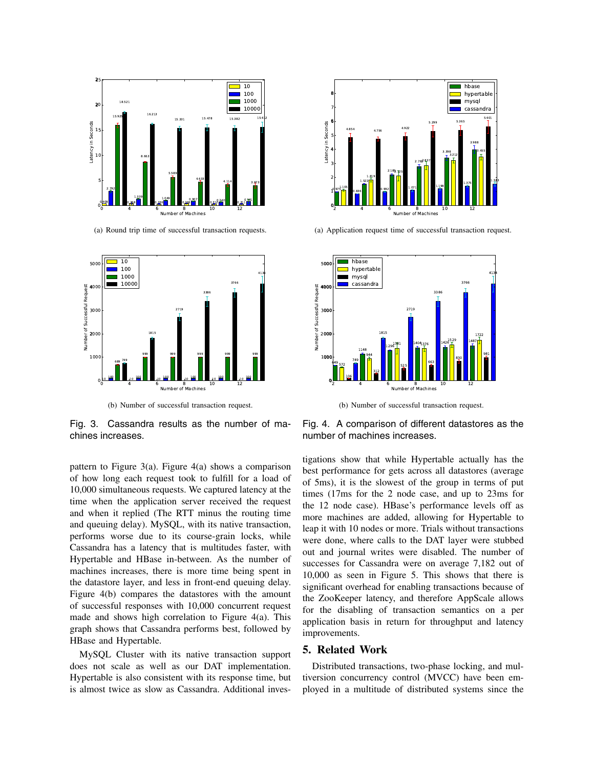

(a) Round trip time of successful transaction requests.



(b) Number of successful transaction request.

Fig. 3. Cassandra results as the number of machines increases.

pattern to Figure 3(a). Figure 4(a) shows a comparison of how long each request took to fulfill for a load of 10,000 simultaneous requests. We captured latency at the time when the application server received the request and when it replied (The RTT minus the routing time and queuing delay). MySQL, with its native transaction, performs worse due to its course-grain locks, while Cassandra has a latency that is multitudes faster, with Hypertable and HBase in-between. As the number of machines increases, there is more time being spent in the datastore layer, and less in front-end queuing delay. Figure 4(b) compares the datastores with the amount of successful responses with 10,000 concurrent request made and shows high correlation to Figure 4(a). This graph shows that Cassandra performs best, followed by HBase and Hypertable.

MySQL Cluster with its native transaction support does not scale as well as our DAT implementation. Hypertable is also consistent with its response time, but is almost twice as slow as Cassandra. Additional inves-





(a) Application request time of successful transaction request.

(b) Number of successful transaction request.

Fig. 4. A comparison of different datastores as the number of machines increases.

tigations show that while Hypertable actually has the best performance for gets across all datastores (average of 5ms), it is the slowest of the group in terms of put times (17ms for the 2 node case, and up to 23ms for the 12 node case). HBase's performance levels off as more machines are added, allowing for Hypertable to leap it with 10 nodes or more. Trials without transactions were done, where calls to the DAT layer were stubbed out and journal writes were disabled. The number of successes for Cassandra were on average 7,182 out of 10,000 as seen in Figure 5. This shows that there is significant overhead for enabling transactions because of the ZooKeeper latency, and therefore AppScale allows for the disabling of transaction semantics on a per application basis in return for throughput and latency improvements.

#### **5. Related Work**

Distributed transactions, two-phase locking, and multiversion concurrency control (MVCC) have been employed in a multitude of distributed systems since the